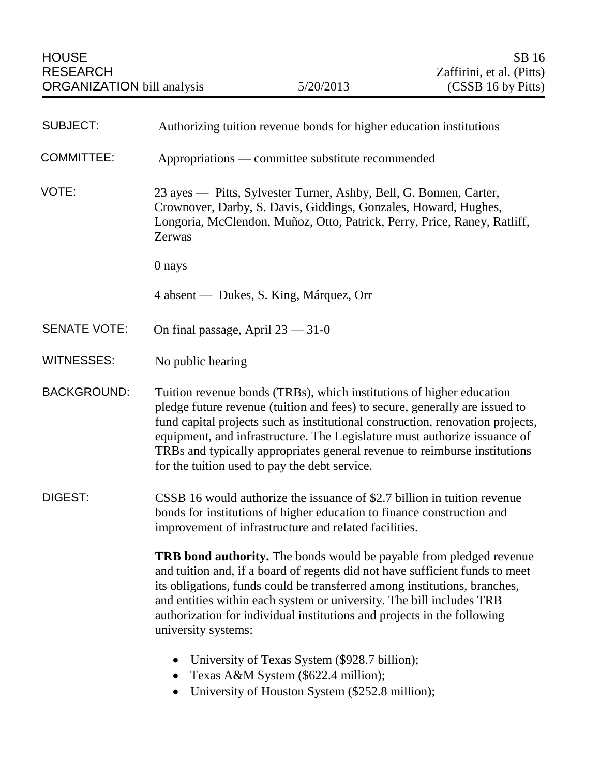| <b>SUBJECT:</b>     | Authorizing tuition revenue bonds for higher education institutions                                                                                                                                                                                                                                                                                                                                                                              |
|---------------------|--------------------------------------------------------------------------------------------------------------------------------------------------------------------------------------------------------------------------------------------------------------------------------------------------------------------------------------------------------------------------------------------------------------------------------------------------|
| <b>COMMITTEE:</b>   | Appropriations — committee substitute recommended                                                                                                                                                                                                                                                                                                                                                                                                |
| VOTE:               | 23 ayes — Pitts, Sylvester Turner, Ashby, Bell, G. Bonnen, Carter,<br>Crownover, Darby, S. Davis, Giddings, Gonzales, Howard, Hughes,<br>Longoria, McClendon, Muñoz, Otto, Patrick, Perry, Price, Raney, Ratliff,<br>Zerwas                                                                                                                                                                                                                      |
|                     | 0 nays                                                                                                                                                                                                                                                                                                                                                                                                                                           |
|                     | 4 absent — Dukes, S. King, Márquez, Orr                                                                                                                                                                                                                                                                                                                                                                                                          |
| <b>SENATE VOTE:</b> | On final passage, April $23 - 31 - 0$                                                                                                                                                                                                                                                                                                                                                                                                            |
| <b>WITNESSES:</b>   | No public hearing                                                                                                                                                                                                                                                                                                                                                                                                                                |
| <b>BACKGROUND:</b>  | Tuition revenue bonds (TRBs), which institutions of higher education<br>pledge future revenue (tuition and fees) to secure, generally are issued to<br>fund capital projects such as institutional construction, renovation projects,<br>equipment, and infrastructure. The Legislature must authorize issuance of<br>TRBs and typically appropriates general revenue to reimburse institutions<br>for the tuition used to pay the debt service. |
| DIGEST:             | CSSB 16 would authorize the issuance of \$2.7 billion in tuition revenue<br>bonds for institutions of higher education to finance construction and<br>improvement of infrastructure and related facilities.                                                                                                                                                                                                                                      |
|                     | <b>TRB bond authority.</b> The bonds would be payable from pledged revenue<br>and tuition and, if a board of regents did not have sufficient funds to meet<br>its obligations, funds could be transferred among institutions, branches,<br>and entities within each system or university. The bill includes TRB<br>authorization for individual institutions and projects in the following<br>university systems:                                |
|                     | University of Texas System (\$928.7 billion);<br>Texas A&M System (\$622.4 million);                                                                                                                                                                                                                                                                                                                                                             |

University of Houston System (\$252.8 million);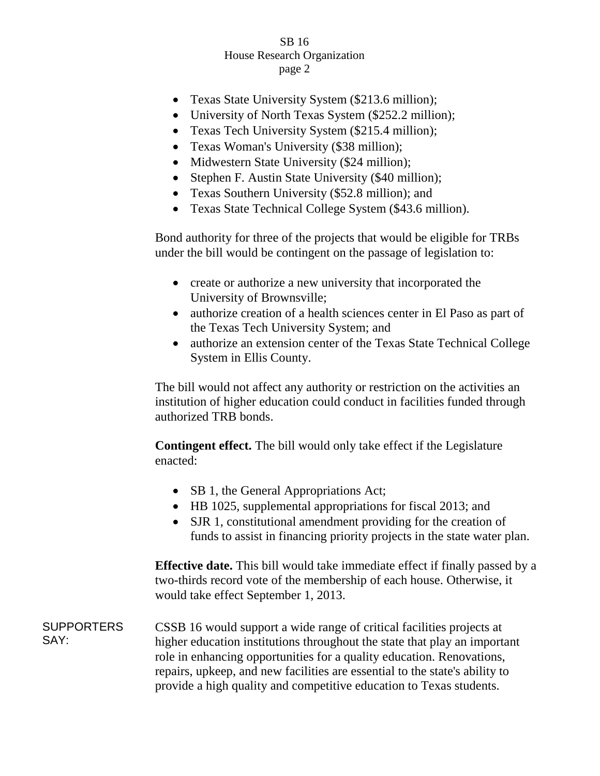## SB 16 House Research Organization page 2

- Texas State University System (\$213.6 million);
- University of North Texas System (\$252.2 million);
- Texas Tech University System (\$215.4 million);
- Texas Woman's University (\$38 million);
- Midwestern State University (\$24 million);
- Stephen F. Austin State University (\$40 million);
- Texas Southern University (\$52.8 million); and
- Texas State Technical College System (\$43.6 million).

Bond authority for three of the projects that would be eligible for TRBs under the bill would be contingent on the passage of legislation to:

- create or authorize a new university that incorporated the University of Brownsville;
- authorize creation of a health sciences center in El Paso as part of the Texas Tech University System; and
- authorize an extension center of the Texas State Technical College System in Ellis County.

The bill would not affect any authority or restriction on the activities an institution of higher education could conduct in facilities funded through authorized TRB bonds.

**Contingent effect.** The bill would only take effect if the Legislature enacted:

- SB 1, the General Appropriations Act;
- HB 1025, supplemental appropriations for fiscal 2013; and
- SJR 1, constitutional amendment providing for the creation of funds to assist in financing priority projects in the state water plan.

**Effective date.** This bill would take immediate effect if finally passed by a two-thirds record vote of the membership of each house. Otherwise, it would take effect September 1, 2013.

**SUPPORTERS** SAY: CSSB 16 would support a wide range of critical facilities projects at higher education institutions throughout the state that play an important role in enhancing opportunities for a quality education. Renovations, repairs, upkeep, and new facilities are essential to the state's ability to provide a high quality and competitive education to Texas students.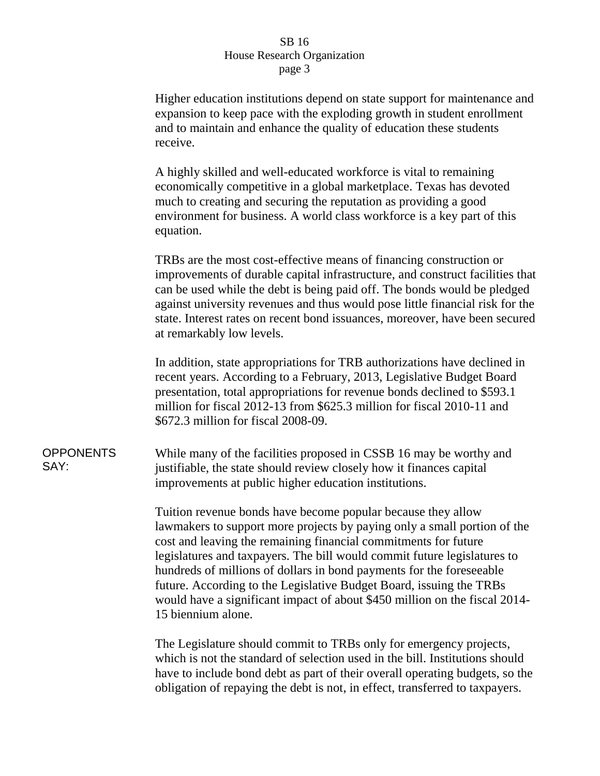## SB 16 House Research Organization page 3

Higher education institutions depend on state support for maintenance and expansion to keep pace with the exploding growth in student enrollment and to maintain and enhance the quality of education these students receive.

A highly skilled and well-educated workforce is vital to remaining economically competitive in a global marketplace. Texas has devoted much to creating and securing the reputation as providing a good environment for business. A world class workforce is a key part of this equation.

TRBs are the most cost-effective means of financing construction or improvements of durable capital infrastructure, and construct facilities that can be used while the debt is being paid off. The bonds would be pledged against university revenues and thus would pose little financial risk for the state. Interest rates on recent bond issuances, moreover, have been secured at remarkably low levels.

In addition, state appropriations for TRB authorizations have declined in recent years. According to a February, 2013, Legislative Budget Board presentation, total appropriations for revenue bonds declined to \$593.1 million for fiscal 2012-13 from \$625.3 million for fiscal 2010-11 and \$672.3 million for fiscal 2008-09.

**OPPONENTS** SAY:

While many of the facilities proposed in CSSB 16 may be worthy and justifiable, the state should review closely how it finances capital improvements at public higher education institutions.

Tuition revenue bonds have become popular because they allow lawmakers to support more projects by paying only a small portion of the cost and leaving the remaining financial commitments for future legislatures and taxpayers. The bill would commit future legislatures to hundreds of millions of dollars in bond payments for the foreseeable future. According to the Legislative Budget Board, issuing the TRBs would have a significant impact of about \$450 million on the fiscal 2014- 15 biennium alone.

The Legislature should commit to TRBs only for emergency projects, which is not the standard of selection used in the bill. Institutions should have to include bond debt as part of their overall operating budgets, so the obligation of repaying the debt is not, in effect, transferred to taxpayers.